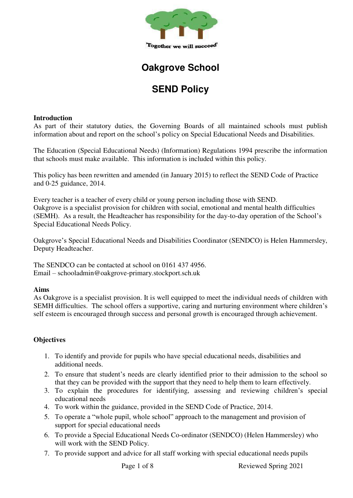

## **Oakgrove School**

# **SEND Policy**

#### **Introduction**

As part of their statutory duties, the Governing Boards of all maintained schools must publish information about and report on the school's policy on Special Educational Needs and Disabilities.

The Education (Special Educational Needs) (Information) Regulations 1994 prescribe the information that schools must make available. This information is included within this policy.

This policy has been rewritten and amended (in January 2015) to reflect the SEND Code of Practice and 0-25 guidance, 2014.

Every teacher is a teacher of every child or young person including those with SEND. Oakgrove is a specialist provision for children with social, emotional and mental health difficulties (SEMH). As a result, the Headteacher has responsibility for the day-to-day operation of the School's Special Educational Needs Policy.

Oakgrove's Special Educational Needs and Disabilities Coordinator (SENDCO) is Helen Hammersley, Deputy Headteacher.

The SENDCO can be contacted at school on 0161 437 4956. Email – schooladmin@oakgrove-primary.stockport.sch.uk

## **Aims**

As Oakgrove is a specialist provision. It is well equipped to meet the individual needs of children with SEMH difficulties. The school offers a supportive, caring and nurturing environment where children's self esteem is encouraged through success and personal growth is encouraged through achievement.

## **Objectives**

- 1. To identify and provide for pupils who have special educational needs, disabilities and additional needs.
- 2. To ensure that student's needs are clearly identified prior to their admission to the school so that they can be provided with the support that they need to help them to learn effectively.
- 3. To explain the procedures for identifying, assessing and reviewing children's special educational needs
- 4. To work within the guidance, provided in the SEND Code of Practice, 2014.
- 5. To operate a "whole pupil, whole school" approach to the management and provision of support for special educational needs
- 6. To provide a Special Educational Needs Co-ordinator (SENDCO) (Helen Hammersley) who will work with the SEND Policy.
- 7. To provide support and advice for all staff working with special educational needs pupils

Page 1 of 8 Reviewed Spring 2021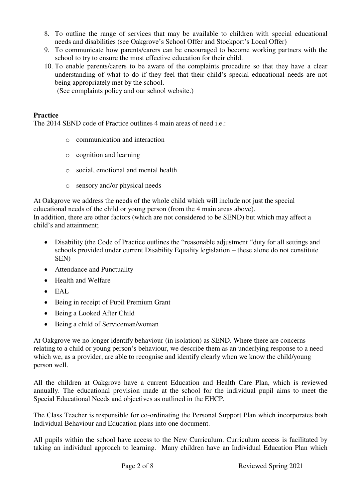- 8. To outline the range of services that may be available to children with special educational needs and disabilities (see Oakgrove's School Offer and Stockport's Local Offer)
- 9. To communicate how parents/carers can be encouraged to become working partners with the school to try to ensure the most effective education for their child.
- 10. To enable parents/carers to be aware of the complaints procedure so that they have a clear understanding of what to do if they feel that their child's special educational needs are not being appropriately met by the school.

(See complaints policy and our school website.)

### **Practice**

The 2014 SEND code of Practice outlines 4 main areas of need i.e.:

- o communication and interaction
- o cognition and learning
- o social, emotional and mental health
- o sensory and/or physical needs

At Oakgrove we address the needs of the whole child which will include not just the special educational needs of the child or young person (from the 4 main areas above). In addition, there are other factors (which are not considered to be SEND) but which may affect a

child's and attainment;

- Disability (the Code of Practice outlines the "reasonable adjustment "duty for all settings and schools provided under current Disability Equality legislation – these alone do not constitute SEN)
- Attendance and Punctuality
- Health and Welfare
- $\bullet$  EAL
- Being in receipt of Pupil Premium Grant
- Being a Looked After Child
- Being a child of Serviceman/woman

At Oakgrove we no longer identify behaviour (in isolation) as SEND. Where there are concerns relating to a child or young person's behaviour, we describe them as an underlying response to a need which we, as a provider, are able to recognise and identify clearly when we know the child/young person well.

All the children at Oakgrove have a current Education and Health Care Plan, which is reviewed annually. The educational provision made at the school for the individual pupil aims to meet the Special Educational Needs and objectives as outlined in the EHCP.

The Class Teacher is responsible for co-ordinating the Personal Support Plan which incorporates both Individual Behaviour and Education plans into one document.

All pupils within the school have access to the New Curriculum. Curriculum access is facilitated by taking an individual approach to learning. Many children have an Individual Education Plan which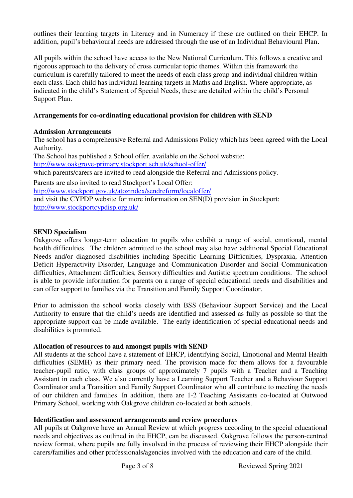outlines their learning targets in Literacy and in Numeracy if these are outlined on their EHCP. In addition, pupil's behavioural needs are addressed through the use of an Individual Behavioural Plan.

All pupils within the school have access to the New National Curriculum. This follows a creative and rigorous approach to the delivery of cross curricular topic themes. Within this framework the curriculum is carefully tailored to meet the needs of each class group and individual children within each class. Each child has individual learning targets in Maths and English. Where appropriate, as indicated in the child's Statement of Special Needs, these are detailed within the child's Personal Support Plan.

## **Arrangements for co-ordinating educational provision for children with SEND**

#### **Admission Arrangements**

The school has a comprehensive Referral and Admissions Policy which has been agreed with the Local Authority.

The School has published a School offer, available on the School website:

<http://www.oakgrove-primary.stockport.sch.uk/school-offer/>

which parents/carers are invited to read alongside the Referral and Admissions policy.

Parents are also invited to read Stockport's Local Offer:

<http://www.stockport.gov.uk/atozindex/sendreform/localoffer/>

and visit the CYPDP website for more information on SEN(D) provision in Stockport: <http://www.stockportcypdisp.org.uk/>

#### **SEND Specialism**

Oakgrove offers longer-term education to pupils who exhibit a range of social, emotional, mental health difficulties. The children admitted to the school may also have additional Special Educational Needs and/or diagnosed disabilities including Specific Learning Difficulties, Dyspraxia, Attention Deficit Hyperactivity Disorder, Language and Communication Disorder and Social Communication difficulties, Attachment difficulties, Sensory difficulties and Autistic spectrum conditions. The school is able to provide information for parents on a range of special educational needs and disabilities and can offer support to families via the Transition and Family Support Coordinator.

Prior to admission the school works closely with BSS (Behaviour Support Service) and the Local Authority to ensure that the child's needs are identified and assessed as fully as possible so that the appropriate support can be made available. The early identification of special educational needs and disabilities is promoted.

#### **Allocation of resources to and amongst pupils with SEND**

All students at the school have a statement of EHCP, identifying Social, Emotional and Mental Health difficulties (SEMH) as their primary need. The provision made for them allows for a favourable teacher-pupil ratio, with class groups of approximately 7 pupils with a Teacher and a Teaching Assistant in each class. We also currently have a Learning Support Teacher and a Behaviour Support Coordinator and a Transition and Family Support Coordinator who all contribute to meeting the needs of our children and families. In addition, there are 1-2 Teaching Assistants co-located at Outwood Primary School, working with Oakgrove children co-located at both schools.

## **Identification and assessment arrangements and review procedures**

All pupils at Oakgrove have an Annual Review at which progress according to the special educational needs and objectives as outlined in the EHCP, can be discussed. Oakgrove follows the person-centred review format, where pupils are fully involved in the process of reviewing their EHCP alongside their carers/families and other professionals/agencies involved with the education and care of the child.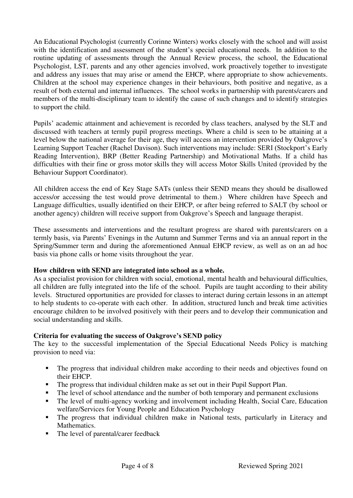An Educational Psychologist (currently Corinne Winters) works closely with the school and will assist with the identification and assessment of the student's special educational needs. In addition to the routine updating of assessments through the Annual Review process, the school, the Educational Psychologist, LST, parents and any other agencies involved, work proactively together to investigate and address any issues that may arise or amend the EHCP, where appropriate to show achievements. Children at the school may experience changes in their behaviours, both positive and negative, as a result of both external and internal influences. The school works in partnership with parents/carers and members of the multi-disciplinary team to identify the cause of such changes and to identify strategies to support the child.

Pupils' academic attainment and achievement is recorded by class teachers, analysed by the SLT and discussed with teachers at termly pupil progress meetings. Where a child is seen to be attaining at a level below the national average for their age, they will access an intervention provided by Oakgrove's Learning Support Teacher (Rachel Davison). Such interventions may include: SERI (Stockport's Early Reading Intervention), BRP (Better Reading Partnership) and Motivational Maths. If a child has difficulties with their fine or gross motor skills they will access Motor Skills United (provided by the Behaviour Support Coordinator).

All children access the end of Key Stage SATs (unless their SEND means they should be disallowed access/or accessing the test would prove detrimental to them.) Where children have Speech and Language difficulties, usually identified on their EHCP, or after being referred to SALT (by school or another agency) children will receive support from Oakgrove's Speech and language therapist.

These assessments and interventions and the resultant progress are shared with parents/carers on a termly basis, via Parents' Evenings in the Autumn and Summer Terms and via an annual report in the Spring/Summer term and during the aforementioned Annual EHCP review, as well as on an ad hoc basis via phone calls or home visits throughout the year.

## **How children with SEND are integrated into school as a whole.**

As a specialist provision for children with social, emotional, mental health and behavioural difficulties, all children are fully integrated into the life of the school. Pupils are taught according to their ability levels. Structured opportunities are provided for classes to interact during certain lessons in an attempt to help students to co-operate with each other. In addition, structured lunch and break time activities encourage children to be involved positively with their peers and to develop their communication and social understanding and skills.

## **Criteria for evaluating the success of Oakgrove's SEND policy**

The key to the successful implementation of the Special Educational Needs Policy is matching provision to need via:

- The progress that individual children make according to their needs and objectives found on their EHCP.
- The progress that individual children make as set out in their Pupil Support Plan.
- The level of school attendance and the number of both temporary and permanent exclusions
- The level of multi-agency working and involvement including Health, Social Care, Education welfare/Services for Young People and Education Psychology
- The progress that individual children make in National tests, particularly in Literacy and Mathematics.
- The level of parental/carer feedback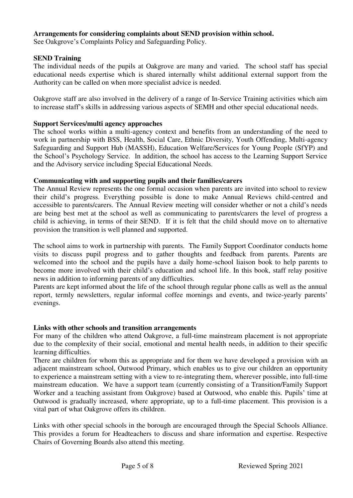### **Arrangements for considering complaints about SEND provision within school.**

See Oakgrove's Complaints Policy and Safeguarding Policy.

#### **SEND Training**

The individual needs of the pupils at Oakgrove are many and varied. The school staff has special educational needs expertise which is shared internally whilst additional external support from the Authority can be called on when more specialist advice is needed.

Oakgrove staff are also involved in the delivery of a range of In-Service Training activities which aim to increase staff's skills in addressing various aspects of SEMH and other special educational needs.

#### **Support Services/multi agency approaches**

The school works within a multi-agency context and benefits from an understanding of the need to work in partnership with BSS, Health, Social Care, Ethnic Diversity, Youth Offending, Multi-agency Safeguarding and Support Hub (MASSH), Education Welfare/Services for Young People (SfYP) and the School's Psychology Service. In addition, the school has access to the Learning Support Service and the Advisory service including Special Educational Needs.

#### **Communicating with and supporting pupils and their families/carers**

The Annual Review represents the one formal occasion when parents are invited into school to review their child's progress. Everything possible is done to make Annual Reviews child-centred and accessible to parents/carers. The Annual Review meeting will consider whether or not a child's needs are being best met at the school as well as communicating to parents/carers the level of progress a child is achieving, in terms of their SEND. If it is felt that the child should move on to alternative provision the transition is well planned and supported.

The school aims to work in partnership with parents. The Family Support Coordinator conducts home visits to discuss pupil progress and to gather thoughts and feedback from parents. Parents are welcomed into the school and the pupils have a daily home-school liaison book to help parents to become more involved with their child's education and school life. In this book, staff relay positive news in addition to informing parents of any difficulties.

Parents are kept informed about the life of the school through regular phone calls as well as the annual report, termly newsletters, regular informal coffee mornings and events, and twice-yearly parents' evenings.

#### **Links with other schools and transition arrangements**

For many of the children who attend Oakgrove, a full-time mainstream placement is not appropriate due to the complexity of their social, emotional and mental health needs, in addition to their specific learning difficulties.

There are children for whom this as appropriate and for them we have developed a provision with an adjacent mainstream school, Outwood Primary, which enables us to give our children an opportunity to experience a mainstream setting with a view to re-integrating them, wherever possible, into full-time mainstream education. We have a support team (currently consisting of a Transition/Family Support Worker and a teaching assistant from Oakgrove) based at Outwood, who enable this. Pupils' time at Outwood is gradually increased, where appropriate, up to a full-time placement. This provision is a vital part of what Oakgrove offers its children.

Links with other special schools in the borough are encouraged through the Special Schools Alliance. This provides a forum for Headteachers to discuss and share information and expertise. Respective Chairs of Governing Boards also attend this meeting.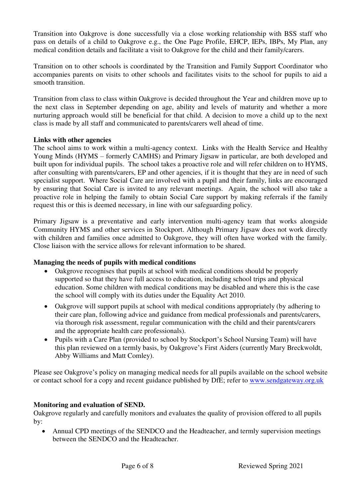Transition into Oakgrove is done successfully via a close working relationship with BSS staff who pass on details of a child to Oakgrove e.g., the One Page Profile, EHCP, IEPs, IBPs, My Plan, any medical condition details and facilitate a visit to Oakgrove for the child and their family/carers.

Transition on to other schools is coordinated by the Transition and Family Support Coordinator who accompanies parents on visits to other schools and facilitates visits to the school for pupils to aid a smooth transition.

Transition from class to class within Oakgrove is decided throughout the Year and children move up to the next class in September depending on age, ability and levels of maturity and whether a more nurturing approach would still be beneficial for that child. A decision to move a child up to the next class is made by all staff and communicated to parents/carers well ahead of time.

#### **Links with other agencies**

The school aims to work within a multi-agency context. Links with the Health Service and Healthy Young Minds (HYMS – formerly CAMHS) and Primary Jigsaw in particular, are both developed and built upon for individual pupils. The school takes a proactive role and will refer children on to HYMS, after consulting with parents/carers, EP and other agencies, if it is thought that they are in need of such specialist support. Where Social Care are involved with a pupil and their family, links are encouraged by ensuring that Social Care is invited to any relevant meetings. Again, the school will also take a proactive role in helping the family to obtain Social Care support by making referrals if the family request this or this is deemed necessary, in line with our safeguarding policy.

Primary Jigsaw is a preventative and early intervention multi-agency team that works alongside Community HYMS and other services in Stockport. Although Primary Jigsaw does not work directly with children and families once admitted to Oakgrove, they will often have worked with the family. Close liaison with the service allows for relevant information to be shared.

## **Managing the needs of pupils with medical conditions**

- Oakgrove recognises that pupils at school with medical conditions should be properly supported so that they have full access to education, including school trips and physical education. Some children with medical conditions may be disabled and where this is the case the school will comply with its duties under the Equality Act 2010.
- Oakgrove will support pupils at school with medical conditions appropriately (by adhering to their care plan, following advice and guidance from medical professionals and parents/carers, via thorough risk assessment, regular communication with the child and their parents/carers and the appropriate health care professionals).
- Pupils with a Care Plan (provided to school by Stockport's School Nursing Team) will have this plan reviewed on a termly basis, by Oakgrove's First Aiders (currently Mary Breckwoldt, Abby Williams and Matt Comley).

Please see Oakgrove's policy on managing medical needs for all pupils available on the school website or contact school for a copy and recent guidance published by DfE; refer to [www.sendgateway.org.uk](http://www.sendgateway.org.uk/)

## **Monitoring and evaluation of SEND.**

Oakgrove regularly and carefully monitors and evaluates the quality of provision offered to all pupils by:

 Annual CPD meetings of the SENDCO and the Headteacher, and termly supervision meetings between the SENDCO and the Headteacher.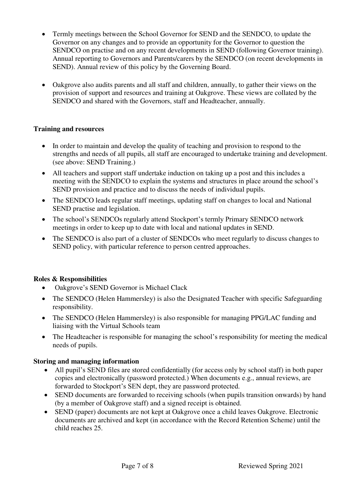- Termly meetings between the School Governor for SEND and the SENDCO, to update the Governor on any changes and to provide an opportunity for the Governor to question the SENDCO on practise and on any recent developments in SEND (following Governor training). Annual reporting to Governors and Parents/carers by the SENDCO (on recent developments in SEND). Annual review of this policy by the Governing Board.
- Oakgrove also audits parents and all staff and children, annually, to gather their views on the provision of support and resources and training at Oakgrove. These views are collated by the SENDCO and shared with the Governors, staff and Headteacher, annually.

## **Training and resources**

- In order to maintain and develop the quality of teaching and provision to respond to the strengths and needs of all pupils, all staff are encouraged to undertake training and development. (see above: SEND Training.)
- All teachers and support staff undertake induction on taking up a post and this includes a meeting with the SENDCO to explain the systems and structures in place around the school's SEND provision and practice and to discuss the needs of individual pupils.
- The SENDCO leads regular staff meetings, updating staff on changes to local and National SEND practise and legislation.
- The school's SENDCOs regularly attend Stockport's termly Primary SENDCO network meetings in order to keep up to date with local and national updates in SEND.
- The SENDCO is also part of a cluster of SENDCOs who meet regularly to discuss changes to SEND policy, with particular reference to person centred approaches.

## **Roles & Responsibilities**

- Oakgrove's SEND Governor is Michael Clack
- The SENDCO (Helen Hammersley) is also the Designated Teacher with specific Safeguarding responsibility.
- The SENDCO (Helen Hammersley) is also responsible for managing PPG/LAC funding and liaising with the Virtual Schools team
- The Headteacher is responsible for managing the school's responsibility for meeting the medical needs of pupils.

## **Storing and managing information**

- All pupil's SEND files are stored confidentially (for access only by school staff) in both paper copies and electronically (password protected.) When documents e.g., annual reviews, are forwarded to Stockport's SEN dept, they are password protected.
- SEND documents are forwarded to receiving schools (when pupils transition onwards) by hand (by a member of Oakgrove staff) and a signed receipt is obtained.
- SEND (paper) documents are not kept at Oakgrove once a child leaves Oakgrove. Electronic documents are archived and kept (in accordance with the Record Retention Scheme) until the child reaches 25.